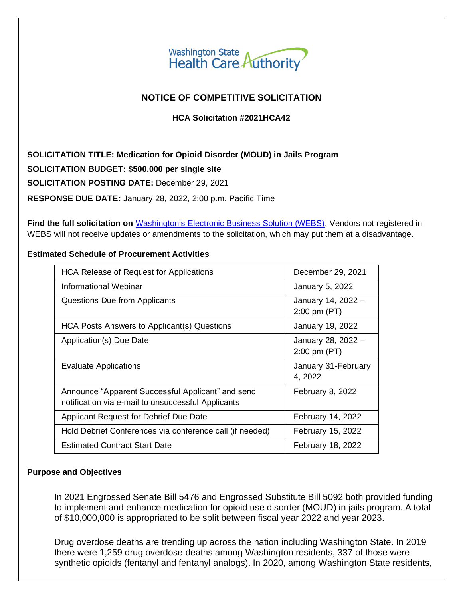

# **NOTICE OF COMPETITIVE SOLICITATION**

## **HCA Solicitation #2021HCA42**

**SOLICITATION TITLE: Medication for Opioid Disorder (MOUD) in Jails Program SOLICITATION BUDGET: \$500,000 per single site SOLICITATION POSTING DATE:** December 29, 2021 **RESPONSE DUE DATE:** January 28, 2022, 2:00 p.m. Pacific Time

**Find the full solicitation on** Washington's [Electronic Business Solution \(WEBS\).](https://pr-webs-vendor.des.wa.gov/) Vendors not registered in WEBS will not receive updates or amendments to the solicitation, which may put them at a disadvantage.

#### **Estimated Schedule of Procurement Activities**

| <b>HCA Release of Request for Applications</b>                                                          | December 29, 2021                             |
|---------------------------------------------------------------------------------------------------------|-----------------------------------------------|
| Informational Webinar                                                                                   | January 5, 2022                               |
| Questions Due from Applicants                                                                           | January 14, 2022 -<br>$2:00 \text{ pm } (PT)$ |
| HCA Posts Answers to Applicant(s) Questions                                                             | January 19, 2022                              |
| Application(s) Due Date                                                                                 | January 28, 2022 -<br>$2:00 \text{ pm } (PT)$ |
| <b>Evaluate Applications</b>                                                                            | January 31-February<br>4, 2022                |
| Announce "Apparent Successful Applicant" and send<br>notification via e-mail to unsuccessful Applicants | February 8, 2022                              |
| Applicant Request for Debrief Due Date                                                                  | February 14, 2022                             |
| Hold Debrief Conferences via conference call (if needed)                                                | February 15, 2022                             |
| <b>Estimated Contract Start Date</b>                                                                    | <b>February 18, 2022</b>                      |

#### **Purpose and Objectives**

In 2021 Engrossed Senate Bill 5476 and Engrossed Substitute Bill 5092 both provided funding to implement and enhance medication for opioid use disorder (MOUD) in jails program. A total of \$10,000,000 is appropriated to be split between fiscal year 2022 and year 2023.

Drug overdose deaths are trending up across the nation including Washington State. In 2019 there were 1,259 drug overdose deaths among Washington residents, 337 of those were synthetic opioids (fentanyl and fentanyl analogs). In 2020, among Washington State residents,